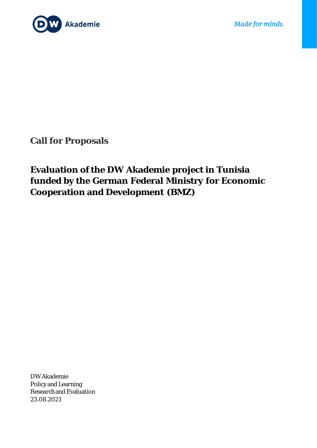

**Call for Proposals**

# **Evaluation of the DW Akademie project in Tunisia funded by the German Federal Ministry for Economic Cooperation and Development (BMZ)**

DW Akademie Policy and Learning Research and Evaluation 23.08.2021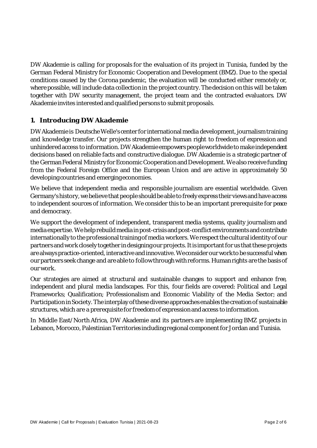DW Akademie is calling for proposals for the evaluation of its project in Tunisia, funded by the German Federal Ministry for Economic Cooperation and Development (BMZ). Due to the special conditions caused by the Corona pandemic, the evaluation will be conducted either remotely or, where possible, will include data collection in the project country. The decision on this will be taken together with DW security management, the project team and the contracted evaluators. DW Akademie invites interested and qualified persons to submit proposals.

#### **1. Introducing DW Akademie**

DW Akademie is Deutsche Welle's center for international media development, journalism training and knowledge transfer. Our projects strengthen the human right to freedom of expression and unhindered access to information. DW Akademie empowers people worldwide to make independent decisions based on reliable facts and constructive dialogue. DW Akademie is a strategic partner of the German Federal Ministry for Economic Cooperation and Development. We also receive funding from the Federal Foreign Office and the European Union and are active in approximately 50 developing countries and emerging economies.

We believe that independent media and responsible journalism are essential worldwide. Given Germany's history, we believe that people should be able to freely express their views and have access to independent sources of information. We consider this to be an important prerequisite for peace and democracy.

We support the development of independent, transparent media systems, quality journalism and media expertise. We help rebuild media in post-crisis and post-conflict environments and contribute internationally to the professional training of media workers.We respect the cultural identity of our partners and work closely together in designing our projects. It is important for us that these projects are always practice-oriented, interactive and innovative. We consider our work to be successful when our partners seek change and are able to follow through with reforms. Human rights are the basis of our work.

Our strategies are aimed at structural and sustainable changes to support and enhance free, independent and plural media landscapes. For this, four fields are covered: Political and Legal Frameworks; Qualification; Professionalism and Economic Viability of the Media Sector; and Participation in Society. The interplay of these diverse approaches enables the creation of sustainable structures, which are a prerequisite for freedom of expression and access to information.

In Middle East/North Africa, DW Akademie and its partners are implementing BMZ projects in Lebanon, Morocco, Palestinian Territories including regional component for Jordan and Tunisia.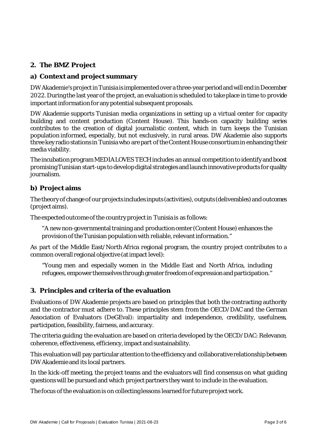## **2. The BMZ Project**

### **a) Context and project summary**

DW Akademie's project in Tunisia is implemented over a three-year period and will end in December 2022. During the last year of the project, an evaluation is scheduled to take place in time to provide important information for any potential subsequent proposals.

DW Akademie supports Tunisian media organizations in setting up a virtual center for capacity building and content production (Content House). This hands-on capacity building series contributes to the creation of digital journalistic content, which in turn keeps the Tunisian population informed, especially, but not exclusively, in rural areas. DW Akademie also supports three key radio stations in Tunisia who are part of the Content House consortium in enhancing their media viability.

The incubation program MEDIA LOVES TECH includes an annual competition to identify and boost promising Tunisian start-ups to develop digital strategies and launch innovative products for quality journalism.

#### **b) Project aims**

The theory of change of our projects includes inputs (activities), outputs (deliverables) and outcomes (project aims).

The expected outcome of the country project in Tunisia is as follows:

"A new non-governmental training and production center (Content House) enhances the provision of the Tunisian population with reliable, relevant information."

As part of the Middle East/North Africa regional program, the country project contributes to a common overall regional objective (at impact level):

"Young men and especially women in the Middle East and North Africa, including refugees, empower themselves through greater freedom of expression and participation."

#### **3. Principles and criteria of the evaluation**

Evaluations of DW Akademie projects are based on principles that both the contracting authority and the contractor must adhere to. These principles stem from the OECD/DAC and the German Association of Evaluators (DeGEval): impartiality and independence, credibility, usefulness, participation, feasibility, fairness, and accuracy.

The criteria guiding the evaluation are based on criteria developed by the OECD/DAC: Relevance, coherence, effectiveness, efficiency, impact and sustainability.

This evaluation will pay particular attention to the efficiency and collaborative relationship between DW Akademie and its local partners.

In the kick-off meeting, the project teams and the evaluators will find consensus on what guiding questions will be pursued and which project partners they want to include in the evaluation.

The focus of the evaluation is on collecting lessons learned for future project work.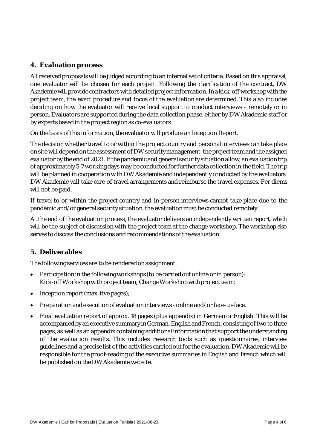#### **4. Evaluation process**

All received proposals will be judged according to an internal set of criteria. Based on this appraisal, one evaluator will be chosen for each project. Following the clarification of the contract, DW Akademie will provide contractors with detailed project information. In a kick-off workshop with the project team, the exact procedure and focus of the evaluation are determined. This also includes deciding on how the evaluator will receive local support to conduct interviews - remotely or in person. Evaluators are supported during the data collection phase, either by DW Akademie staff or by experts based in the project region as co-evaluators.

On the basis of this information, the evaluator will produce an Inception Report.

The decision whether travel to or within the project country and personal interviews can take place on site will depend on the assessment of DW security management, the project team and the assigned evaluator by the end of 2021. If the pandemic and general security situation allow, an evaluation trip of approximately 5-7 working days may be conducted for further data collection in the field. The trip will be planned in cooperation with DW Akademie and independently conducted by the evaluators. DW Akademie will take care of travel arrangements and reimburse the travel expenses. Per diems will not be paid.

If travel to or within the project country and in-person interviews cannot take place due to the pandemic and/or general security situation, the evaluation must be conducted remotely.

At the end of the evaluation process, the evaluator delivers an independently written report, which will be the subject of discussion with the project team at the change workshop. The workshop also serves to discuss the conclusions and recommendations of the evaluation.

#### **5. Deliverables**

The following services are to be rendered on assignment:

- Participation in the following workshops (to be carried out online or in person): Kick-off Workshop with project team; Change Workshop with project team;
- Inception report (max. five pages);
- Preparation and execution of evaluation interviews online and/or face-to-face.
- Final evaluation report of approx. 18 pages (plus appendix) in German or English. This will be accompanied by an executive summary in German, Englishand French, consisting of two to three pages, as well as an appendix containing additional information that support the understanding of the evaluation results. This includes research tools such as questionnaires, interview guidelines and a precise list of the activities carried out for the evaluation. DW Akademie will be responsible for the proof-reading of the executive summaries in English and French which will be published on the DW Akademie website.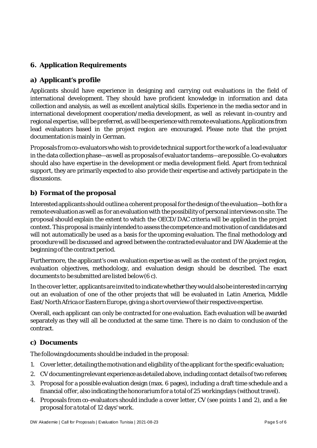# **6. Application Requirements**

#### **a) Applicant's profile**

Applicants should have experience in designing and carrying out evaluations in the field of international development. They should have proficient knowledge in information and data collection and analysis, as well as excellent analytical skills. Experience in the media sector and in international development cooperation/media development, as well as relevant in-country and regional expertise, will be preferred, as will be experience with remote evaluations.Applications from lead evaluators based in the project region are encouraged. Please note that the project documentation is mainly in German.

Proposals from co-evaluators who wish to provide technical support for the work of a lead evaluator in the data collection phase—as well as proposals of evaluator tandems—are possible. Co-evaluators should also have expertise in the development or media development field. Apart from technical support, they are primarily expected to also provide their expertise and actively participate in the discussions.

#### **b) Format of the proposal**

Interested applicants should outline a coherent proposalfor the design of the evaluation—both for a remote evaluation as well as for an evaluation with the possibility of personal interviews on site. The proposal should explain the extent to which the OECD/DAC criteria will be applied in the project context. This proposal is mainly intended to assess the competence and motivation of candidates and will not automatically be used as a basis for the upcoming evaluation. The final methodology and procedure will be discussed and agreed between the contracted evaluator and DW Akademie at the beginning of the contract period.

Furthermore, the applicant's own evaluation expertise as well as the context of the project region, evaluation objectives, methodology, and evaluation design should be described. The exact documents to be submitted are listed below (6 c).

In the cover letter, applicants are invited to indicate whether they would alsobe interested in carrying out an evaluation of one of the other projects that will be evaluated in Latin America, Middle East/North Africa or Eastern Europe, giving a short overview of their respective expertise.

Overall, each applicant can only be contracted for one evaluation. Each evaluation will be awarded separately as they will all be conducted at the same time. There is no claim to conclusion of the contract.

#### **c) Documents**

The following documents should be included in the proposal:

- 1. Cover letter, detailing the motivation and eligibility of the applicant for the specific evaluation;
- 2. CV documenting relevant experience as detailed above, including contact details of two referees;
- 3. Proposal for a possible evaluation design (max. 6 pages), including a draft time schedule and a financial offer, also indicating the honorariumfor a total of 25 working days (without travel).
- 4. Proposals from co-evaluators should include a cover letter, CV (see points 1 and 2), and a fee proposal for a total of 12 days' work.